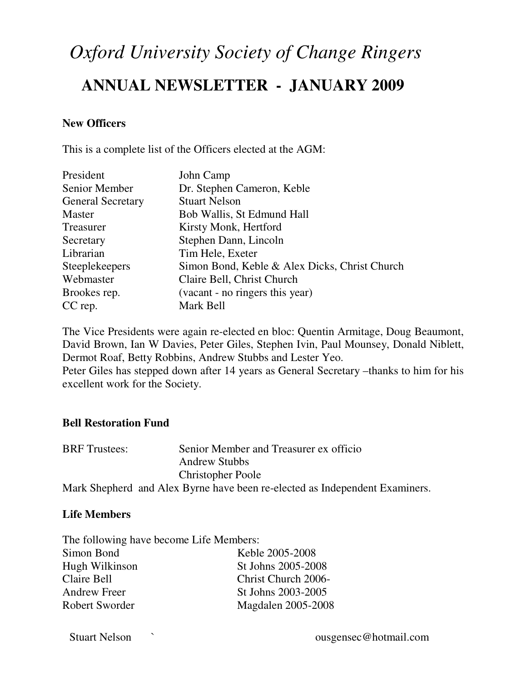# *Oxford University Society of Change Ringers*

# **ANNUAL NEWSLETTER - JANUARY 2009**

#### **New Officers**

This is a complete list of the Officers elected at the AGM:

| President                | John Camp                                     |
|--------------------------|-----------------------------------------------|
| Senior Member            | Dr. Stephen Cameron, Keble                    |
| <b>General Secretary</b> | <b>Stuart Nelson</b>                          |
| Master                   | Bob Wallis, St Edmund Hall                    |
| Treasurer                | Kirsty Monk, Hertford                         |
| Secretary                | Stephen Dann, Lincoln                         |
| Librarian                | Tim Hele, Exeter                              |
| Steeplekeepers           | Simon Bond, Keble & Alex Dicks, Christ Church |
| Webmaster                | Claire Bell, Christ Church                    |
| Brookes rep.             | (vacant - no ringers this year)               |
| CC rep.                  | Mark Bell                                     |

The Vice Presidents were again re-elected en bloc: Quentin Armitage, Doug Beaumont, David Brown, Ian W Davies, Peter Giles, Stephen Ivin, Paul Mounsey, Donald Niblett, Dermot Roaf, Betty Robbins, Andrew Stubbs and Lester Yeo. Peter Giles has stepped down after 14 years as General Secretary –thanks to him for his excellent work for the Society.

#### **Bell Restoration Fund**

| <b>BRF</b> Trustees: | Senior Member and Treasurer ex officio                                      |
|----------------------|-----------------------------------------------------------------------------|
|                      | <b>Andrew Stubbs</b>                                                        |
|                      | <b>Christopher Poole</b>                                                    |
|                      | Mark Shepherd and Alex Byrne have been re-elected as Independent Examiners. |

#### **Life Members**

| The following have become Life Members: |                     |  |
|-----------------------------------------|---------------------|--|
| Simon Bond                              | Keble 2005-2008     |  |
| Hugh Wilkinson                          | St Johns 2005-2008  |  |
| Claire Bell                             | Christ Church 2006- |  |
| <b>Andrew Freer</b>                     | St Johns 2003-2005  |  |
| Robert Sworder                          | Magdalen 2005-2008  |  |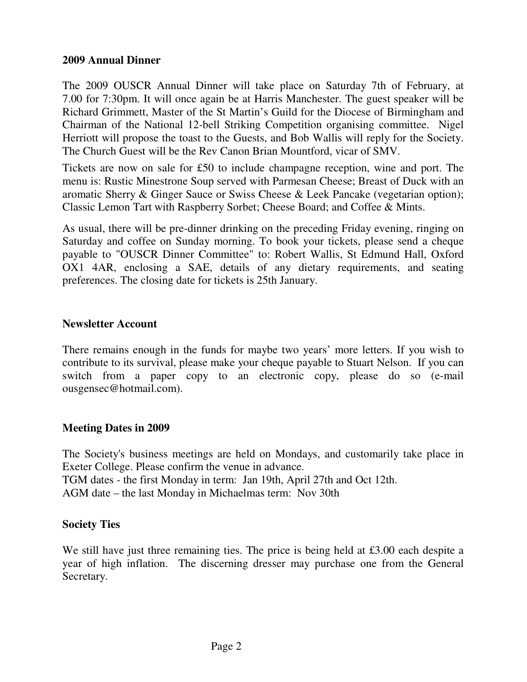#### **2009 Annual Dinner**

The 2009 OUSCR Annual Dinner will take place on Saturday 7th of February, at 7.00 for 7:30pm. It will once again be at Harris Manchester. The guest speaker will be Richard Grimmett, Master of the St Martin's Guild for the Diocese of Birmingham and Chairman of the National 12-bell Striking Competition organising committee. Nigel Herriott will propose the toast to the Guests, and Bob Wallis will reply for the Society. The Church Guest will be the Rev Canon Brian Mountford, vicar of SMV.

Tickets are now on sale for £50 to include champagne reception, wine and port. The menu is: Rustic Minestrone Soup served with Parmesan Cheese; Breast of Duck with an aromatic Sherry & Ginger Sauce or Swiss Cheese & Leek Pancake (vegetarian option); Classic Lemon Tart with Raspberry Sorbet; Cheese Board; and Coffee & Mints.

As usual, there will be pre-dinner drinking on the preceding Friday evening, ringing on Saturday and coffee on Sunday morning. To book your tickets, please send a cheque payable to "OUSCR Dinner Committee" to: Robert Wallis, St Edmund Hall, Oxford OX1 4AR, enclosing a SAE, details of any dietary requirements, and seating preferences. The closing date for tickets is 25th January.

#### **Newsletter Account**

There remains enough in the funds for maybe two years' more letters. If you wish to contribute to its survival, please make your cheque payable to Stuart Nelson. If you can switch from a paper copy to an electronic copy, please do so (e-mail ousgensec@hotmail.com).

#### **Meeting Dates in 2009**

The Society's business meetings are held on Mondays, and customarily take place in Exeter College. Please confirm the venue in advance. TGM dates - the first Monday in term: Jan 19th, April 27th and Oct 12th. AGM date – the last Monday in Michaelmas term: Nov 30th

#### **Society Ties**

We still have just three remaining ties. The price is being held at £3.00 each despite a year of high inflation. The discerning dresser may purchase one from the General Secretary.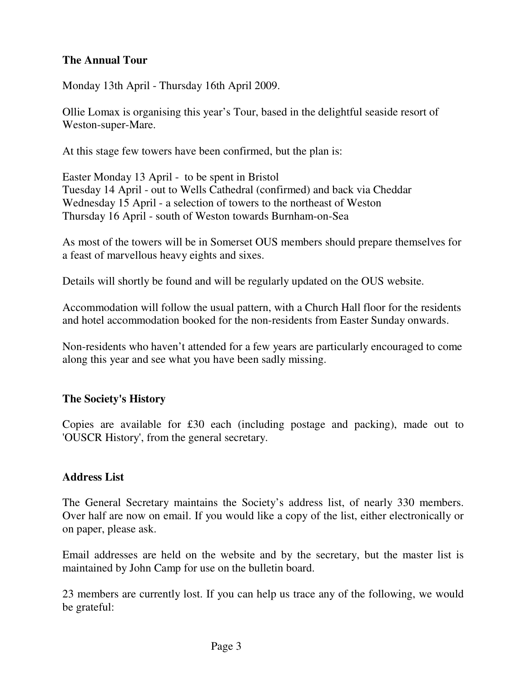# **The Annual Tour**

Monday 13th April - Thursday 16th April 2009.

Ollie Lomax is organising this year's Tour, based in the delightful seaside resort of Weston-super-Mare.

At this stage few towers have been confirmed, but the plan is:

Easter Monday 13 April - to be spent in Bristol Tuesday 14 April - out to Wells Cathedral (confirmed) and back via Cheddar Wednesday 15 April - a selection of towers to the northeast of Weston Thursday 16 April - south of Weston towards Burnham-on-Sea

As most of the towers will be in Somerset OUS members should prepare themselves for a feast of marvellous heavy eights and sixes.

Details will shortly be found and will be regularly updated on the OUS website.

Accommodation will follow the usual pattern, with a Church Hall floor for the residents and hotel accommodation booked for the non-residents from Easter Sunday onwards.

Non-residents who haven't attended for a few years are particularly encouraged to come along this year and see what you have been sadly missing.

# **The Society's History**

Copies are available for £30 each (including postage and packing), made out to 'OUSCR History', from the general secretary.

#### **Address List**

The General Secretary maintains the Society's address list, of nearly 330 members. Over half are now on email. If you would like a copy of the list, either electronically or on paper, please ask.

Email addresses are held on the website and by the secretary, but the master list is maintained by John Camp for use on the bulletin board.

23 members are currently lost. If you can help us trace any of the following, we would be grateful: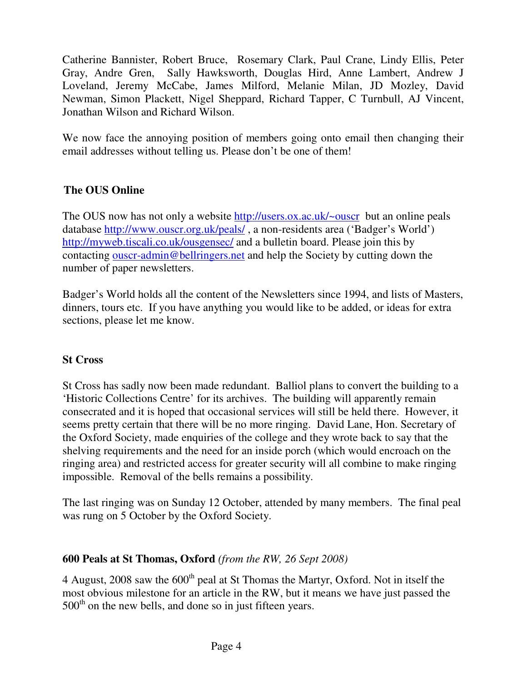Catherine Bannister, Robert Bruce, Rosemary Clark, Paul Crane, Lindy Ellis, Peter Gray, Andre Gren, Sally Hawksworth, Douglas Hird, Anne Lambert, Andrew J Loveland, Jeremy McCabe, James Milford, Melanie Milan, JD Mozley, David Newman, Simon Plackett, Nigel Sheppard, Richard Tapper, C Turnbull, AJ Vincent, Jonathan Wilson and Richard Wilson.

We now face the annoying position of members going onto email then changing their email addresses without telling us. Please don't be one of them!

# **The OUS Online**

The OUS now has not only a website http://users.ox.ac.uk/~ouscr but an online peals database http://www.ouscr.org.uk/peals/ , a non-residents area ('Badger's World') http://myweb.tiscali.co.uk/ousgensec/ and a bulletin board. Please join this by contacting ouser-admin@bellringers.net and help the Society by cutting down the number of paper newsletters.

Badger's World holds all the content of the Newsletters since 1994, and lists of Masters, dinners, tours etc. If you have anything you would like to be added, or ideas for extra sections, please let me know.

# **St Cross**

St Cross has sadly now been made redundant. Balliol plans to convert the building to a 'Historic Collections Centre' for its archives. The building will apparently remain consecrated and it is hoped that occasional services will still be held there. However, it seems pretty certain that there will be no more ringing. David Lane, Hon. Secretary of the Oxford Society, made enquiries of the college and they wrote back to say that the shelving requirements and the need for an inside porch (which would encroach on the ringing area) and restricted access for greater security will all combine to make ringing impossible. Removal of the bells remains a possibility.

The last ringing was on Sunday 12 October, attended by many members. The final peal was rung on 5 October by the Oxford Society.

# **600 Peals at St Thomas, Oxford** *(from the RW, 26 Sept 2008)*

4 August, 2008 saw the  $600<sup>th</sup>$  peal at St Thomas the Martyr, Oxford. Not in itself the most obvious milestone for an article in the RW, but it means we have just passed the  $500<sup>th</sup>$  on the new bells, and done so in just fifteen years.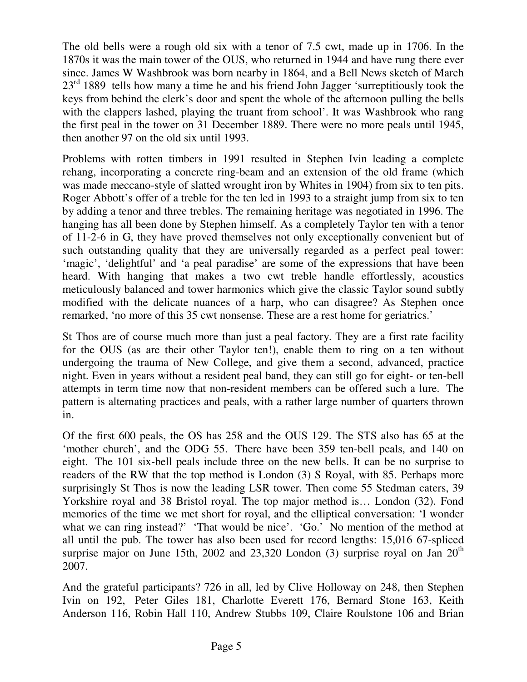The old bells were a rough old six with a tenor of 7.5 cwt, made up in 1706. In the 1870s it was the main tower of the OUS, who returned in 1944 and have rung there ever since. James W Washbrook was born nearby in 1864, and a Bell News sketch of March  $23<sup>rd</sup>$  1889 tells how many a time he and his friend John Jagger 'surreptitiously took the keys from behind the clerk's door and spent the whole of the afternoon pulling the bells with the clappers lashed, playing the truant from school'. It was Washbrook who rang the first peal in the tower on 31 December 1889. There were no more peals until 1945, then another 97 on the old six until 1993.

Problems with rotten timbers in 1991 resulted in Stephen Ivin leading a complete rehang, incorporating a concrete ring-beam and an extension of the old frame (which was made meccano-style of slatted wrought iron by Whites in 1904) from six to ten pits. Roger Abbott's offer of a treble for the ten led in 1993 to a straight jump from six to ten by adding a tenor and three trebles. The remaining heritage was negotiated in 1996. The hanging has all been done by Stephen himself. As a completely Taylor ten with a tenor of 11-2-6 in G, they have proved themselves not only exceptionally convenient but of such outstanding quality that they are universally regarded as a perfect peal tower: 'magic', 'delightful' and 'a peal paradise' are some of the expressions that have been heard. With hanging that makes a two cwt treble handle effortlessly, acoustics meticulously balanced and tower harmonics which give the classic Taylor sound subtly modified with the delicate nuances of a harp, who can disagree? As Stephen once remarked, 'no more of this 35 cwt nonsense. These are a rest home for geriatrics.'

St Thos are of course much more than just a peal factory. They are a first rate facility for the OUS (as are their other Taylor ten!), enable them to ring on a ten without undergoing the trauma of New College, and give them a second, advanced, practice night. Even in years without a resident peal band, they can still go for eight- or ten-bell attempts in term time now that non-resident members can be offered such a lure. The pattern is alternating practices and peals, with a rather large number of quarters thrown in.

Of the first 600 peals, the OS has 258 and the OUS 129. The STS also has 65 at the 'mother church', and the ODG 55. There have been 359 ten-bell peals, and 140 on eight. The 101 six-bell peals include three on the new bells. It can be no surprise to readers of the RW that the top method is London (3) S Royal, with 85. Perhaps more surprisingly St Thos is now the leading LSR tower. Then come 55 Stedman caters, 39 Yorkshire royal and 38 Bristol royal. The top major method is… London (32). Fond memories of the time we met short for royal, and the elliptical conversation: 'I wonder what we can ring instead?' 'That would be nice'. 'Go.' No mention of the method at all until the pub. The tower has also been used for record lengths: 15,016 67-spliced surprise major on June 15th, 2002 and 23,320 London (3) surprise royal on Jan  $20<sup>th</sup>$ 2007.

And the grateful participants? 726 in all, led by Clive Holloway on 248, then Stephen Ivin on 192, Peter Giles 181, Charlotte Everett 176, Bernard Stone 163, Keith Anderson 116, Robin Hall 110, Andrew Stubbs 109, Claire Roulstone 106 and Brian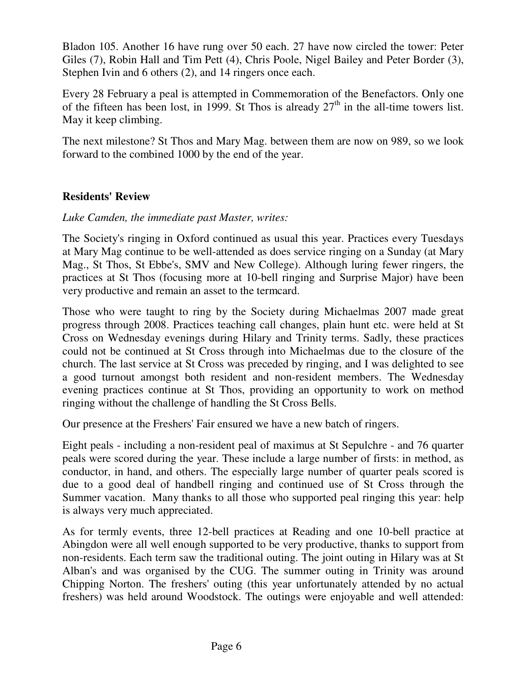Bladon 105. Another 16 have rung over 50 each. 27 have now circled the tower: Peter Giles (7), Robin Hall and Tim Pett (4), Chris Poole, Nigel Bailey and Peter Border (3), Stephen Ivin and 6 others (2), and 14 ringers once each.

Every 28 February a peal is attempted in Commemoration of the Benefactors. Only one of the fifteen has been lost, in 1999. St Thos is already  $27<sup>th</sup>$  in the all-time towers list. May it keep climbing.

The next milestone? St Thos and Mary Mag. between them are now on 989, so we look forward to the combined 1000 by the end of the year.

# **Residents' Review**

*Luke Camden, the immediate past Master, writes:* 

The Society's ringing in Oxford continued as usual this year. Practices every Tuesdays at Mary Mag continue to be well-attended as does service ringing on a Sunday (at Mary Mag., St Thos, St Ebbe's, SMV and New College). Although luring fewer ringers, the practices at St Thos (focusing more at 10-bell ringing and Surprise Major) have been very productive and remain an asset to the termcard.

Those who were taught to ring by the Society during Michaelmas 2007 made great progress through 2008. Practices teaching call changes, plain hunt etc. were held at St Cross on Wednesday evenings during Hilary and Trinity terms. Sadly, these practices could not be continued at St Cross through into Michaelmas due to the closure of the church. The last service at St Cross was preceded by ringing, and I was delighted to see a good turnout amongst both resident and non-resident members. The Wednesday evening practices continue at St Thos, providing an opportunity to work on method ringing without the challenge of handling the St Cross Bells.

Our presence at the Freshers' Fair ensured we have a new batch of ringers.

Eight peals - including a non-resident peal of maximus at St Sepulchre - and 76 quarter peals were scored during the year. These include a large number of firsts: in method, as conductor, in hand, and others. The especially large number of quarter peals scored is due to a good deal of handbell ringing and continued use of St Cross through the Summer vacation. Many thanks to all those who supported peal ringing this year: help is always very much appreciated.

As for termly events, three 12-bell practices at Reading and one 10-bell practice at Abingdon were all well enough supported to be very productive, thanks to support from non-residents. Each term saw the traditional outing. The joint outing in Hilary was at St Alban's and was organised by the CUG. The summer outing in Trinity was around Chipping Norton. The freshers' outing (this year unfortunately attended by no actual freshers) was held around Woodstock. The outings were enjoyable and well attended: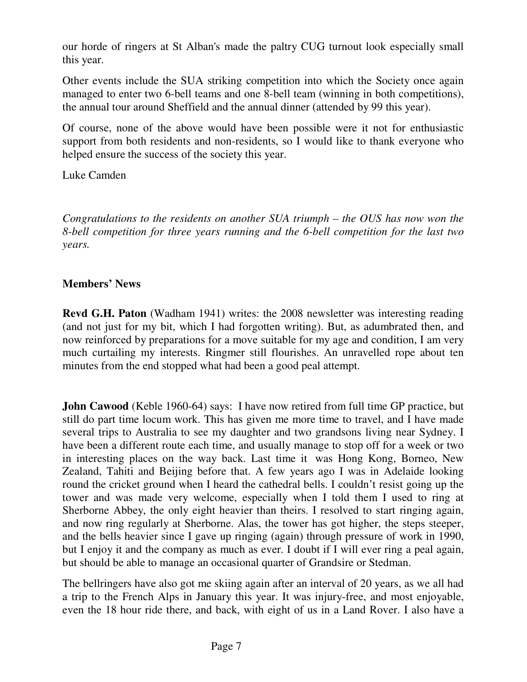our horde of ringers at St Alban's made the paltry CUG turnout look especially small this year.

Other events include the SUA striking competition into which the Society once again managed to enter two 6-bell teams and one 8-bell team (winning in both competitions), the annual tour around Sheffield and the annual dinner (attended by 99 this year).

Of course, none of the above would have been possible were it not for enthusiastic support from both residents and non-residents, so I would like to thank everyone who helped ensure the success of the society this year.

Luke Camden

*Congratulations to the residents on another SUA triumph – the OUS has now won the 8-bell competition for three years running and the 6-bell competition for the last two years.* 

# **Members' News**

**Revd G.H. Paton** (Wadham 1941) writes: the 2008 newsletter was interesting reading (and not just for my bit, which I had forgotten writing). But, as adumbrated then, and now reinforced by preparations for a move suitable for my age and condition, I am very much curtailing my interests. Ringmer still flourishes. An unravelled rope about ten minutes from the end stopped what had been a good peal attempt.

**John Cawood** (Keble 1960-64) says: I have now retired from full time GP practice, but still do part time locum work. This has given me more time to travel, and I have made several trips to Australia to see my daughter and two grandsons living near Sydney. I have been a different route each time, and usually manage to stop off for a week or two in interesting places on the way back. Last time it was Hong Kong, Borneo, New Zealand, Tahiti and Beijing before that. A few years ago I was in Adelaide looking round the cricket ground when I heard the cathedral bells. I couldn't resist going up the tower and was made very welcome, especially when I told them I used to ring at Sherborne Abbey, the only eight heavier than theirs. I resolved to start ringing again, and now ring regularly at Sherborne. Alas, the tower has got higher, the steps steeper, and the bells heavier since I gave up ringing (again) through pressure of work in 1990, but I enjoy it and the company as much as ever. I doubt if I will ever ring a peal again, but should be able to manage an occasional quarter of Grandsire or Stedman.

The bellringers have also got me skiing again after an interval of 20 years, as we all had a trip to the French Alps in January this year. It was injury-free, and most enjoyable, even the 18 hour ride there, and back, with eight of us in a Land Rover. I also have a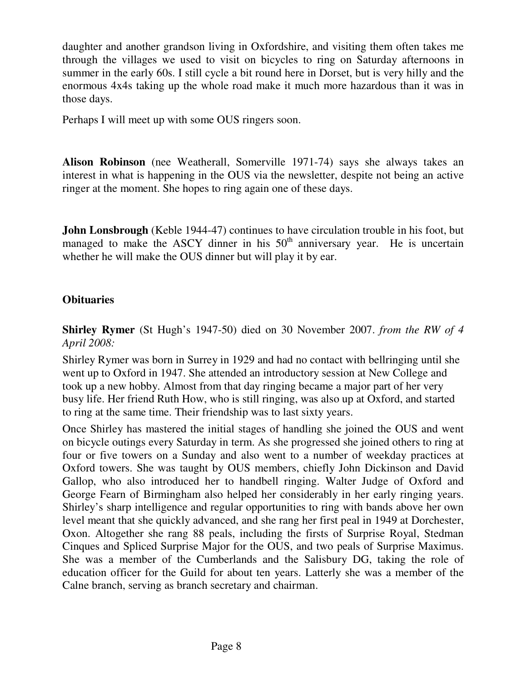daughter and another grandson living in Oxfordshire, and visiting them often takes me through the villages we used to visit on bicycles to ring on Saturday afternoons in summer in the early 60s. I still cycle a bit round here in Dorset, but is very hilly and the enormous 4x4s taking up the whole road make it much more hazardous than it was in those days.

Perhaps I will meet up with some OUS ringers soon.

**Alison Robinson** (nee Weatherall, Somerville 1971-74) says she always takes an interest in what is happening in the OUS via the newsletter, despite not being an active ringer at the moment. She hopes to ring again one of these days.

**John Lonsbrough** (Keble 1944-47) continues to have circulation trouble in his foot, but managed to make the ASCY dinner in his  $50<sup>th</sup>$  anniversary year. He is uncertain whether he will make the OUS dinner but will play it by ear.

#### **Obituaries**

**Shirley Rymer** (St Hugh's 1947-50) died on 30 November 2007. *from the RW of 4 April 2008:*

Shirley Rymer was born in Surrey in 1929 and had no contact with bellringing until she went up to Oxford in 1947. She attended an introductory session at New College and took up a new hobby. Almost from that day ringing became a major part of her very busy life. Her friend Ruth How, who is still ringing, was also up at Oxford, and started to ring at the same time. Their friendship was to last sixty years.

Once Shirley has mastered the initial stages of handling she joined the OUS and went on bicycle outings every Saturday in term. As she progressed she joined others to ring at four or five towers on a Sunday and also went to a number of weekday practices at Oxford towers. She was taught by OUS members, chiefly John Dickinson and David Gallop, who also introduced her to handbell ringing. Walter Judge of Oxford and George Fearn of Birmingham also helped her considerably in her early ringing years. Shirley's sharp intelligence and regular opportunities to ring with bands above her own level meant that she quickly advanced, and she rang her first peal in 1949 at Dorchester, Oxon. Altogether she rang 88 peals, including the firsts of Surprise Royal, Stedman Cinques and Spliced Surprise Major for the OUS, and two peals of Surprise Maximus. She was a member of the Cumberlands and the Salisbury DG, taking the role of education officer for the Guild for about ten years. Latterly she was a member of the Calne branch, serving as branch secretary and chairman.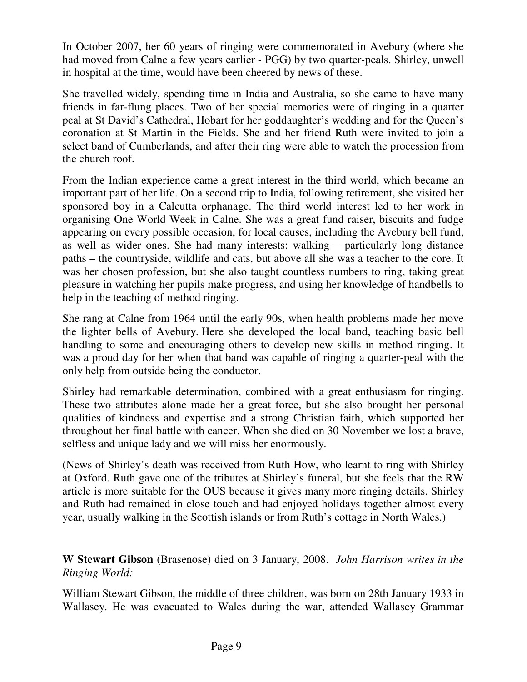In October 2007, her 60 years of ringing were commemorated in Avebury (where she had moved from Calne a few years earlier - PGG) by two quarter-peals. Shirley, unwell in hospital at the time, would have been cheered by news of these.

She travelled widely, spending time in India and Australia, so she came to have many friends in far-flung places. Two of her special memories were of ringing in a quarter peal at St David's Cathedral, Hobart for her goddaughter's wedding and for the Queen's coronation at St Martin in the Fields. She and her friend Ruth were invited to join a select band of Cumberlands, and after their ring were able to watch the procession from the church roof.

From the Indian experience came a great interest in the third world, which became an important part of her life. On a second trip to India, following retirement, she visited her sponsored boy in a Calcutta orphanage. The third world interest led to her work in organising One World Week in Calne. She was a great fund raiser, biscuits and fudge appearing on every possible occasion, for local causes, including the Avebury bell fund, as well as wider ones. She had many interests: walking – particularly long distance paths – the countryside, wildlife and cats, but above all she was a teacher to the core. It was her chosen profession, but she also taught countless numbers to ring, taking great pleasure in watching her pupils make progress, and using her knowledge of handbells to help in the teaching of method ringing.

She rang at Calne from 1964 until the early 90s, when health problems made her move the lighter bells of Avebury. Here she developed the local band, teaching basic bell handling to some and encouraging others to develop new skills in method ringing. It was a proud day for her when that band was capable of ringing a quarter-peal with the only help from outside being the conductor.

Shirley had remarkable determination, combined with a great enthusiasm for ringing. These two attributes alone made her a great force, but she also brought her personal qualities of kindness and expertise and a strong Christian faith, which supported her throughout her final battle with cancer. When she died on 30 November we lost a brave, selfless and unique lady and we will miss her enormously.

(News of Shirley's death was received from Ruth How, who learnt to ring with Shirley at Oxford. Ruth gave one of the tributes at Shirley's funeral, but she feels that the RW article is more suitable for the OUS because it gives many more ringing details. Shirley and Ruth had remained in close touch and had enjoyed holidays together almost every year, usually walking in the Scottish islands or from Ruth's cottage in North Wales.)

**W Stewart Gibson** (Brasenose) died on 3 January, 2008. *John Harrison writes in the Ringing World:*

William Stewart Gibson, the middle of three children, was born on 28th January 1933 in Wallasey. He was evacuated to Wales during the war, attended Wallasey Grammar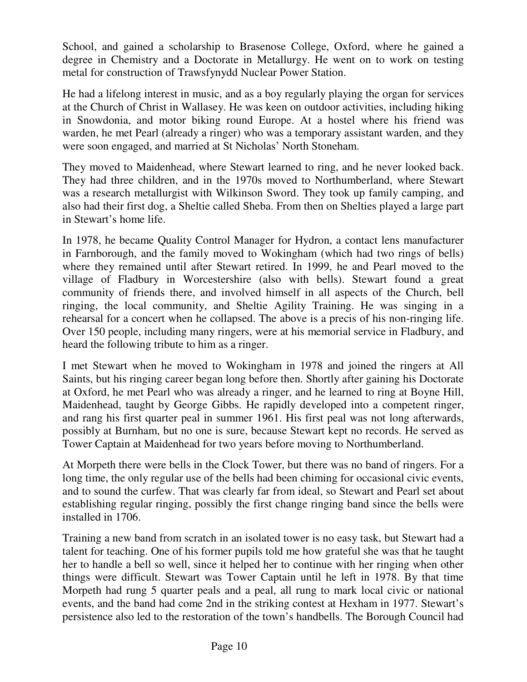School, and gained a scholarship to Brasenose College, Oxford, where he gained a degree in Chemistry and a Doctorate in Metallurgy. He went on to work on testing metal for construction of Trawsfynydd Nuclear Power Station.

He had a lifelong interest in music, and as a boy regularly playing the organ for services at the Church of Christ in Wallasey. He was keen on outdoor activities, including hiking in Snowdonia, and motor biking round Europe. At a hostel where his friend was warden, he met Pearl (already a ringer) who was a temporary assistant warden, and they were soon engaged, and married at St Nicholas' North Stoneham.

They moved to Maidenhead, where Stewart learned to ring, and he never looked back. They had three children, and in the 1970s moved to Northumberland, where Stewart was a research metallurgist with Wilkinson Sword. They took up family camping, and also had their first dog, a Sheltie called Sheba. From then on Shelties played a large part in Stewart's home life.

In 1978, he became Quality Control Manager for Hydron, a contact lens manufacturer in Farnborough, and the family moved to Wokingham (which had two rings of bells) where they remained until after Stewart retired. In 1999, he and Pearl moved to the village of Fladbury in Worcestershire (also with bells). Stewart found a great community of friends there, and involved himself in all aspects of the Church, bell ringing, the local community, and Sheltie Agility Training. He was singing in a rehearsal for a concert when he collapsed. The above is a precis of his non-ringing life. Over 150 people, including many ringers, were at his memorial service in Fladbury, and heard the following tribute to him as a ringer.

I met Stewart when he moved to Wokingham in 1978 and joined the ringers at All Saints, but his ringing career began long before then. Shortly after gaining his Doctorate at Oxford, he met Pearl who was already a ringer, and he learned to ring at Boyne Hill, Maidenhead, taught by George Gibbs. He rapidly developed into a competent ringer, and rang his first quarter peal in summer 1961. His first peal was not long afterwards, possibly at Burnham, but no one is sure, because Stewart kept no records. He served as Tower Captain at Maidenhead for two years before moving to Northumberland.

At Morpeth there were bells in the Clock Tower, but there was no band of ringers. For a long time, the only regular use of the bells had been chiming for occasional civic events, and to sound the curfew. That was clearly far from ideal, so Stewart and Pearl set about establishing regular ringing, possibly the first change ringing band since the bells were installed in 1706.

Training a new band from scratch in an isolated tower is no easy task, but Stewart had a talent for teaching. One of his former pupils told me how grateful she was that he taught her to handle a bell so well, since it helped her to continue with her ringing when other things were difficult. Stewart was Tower Captain until he left in 1978. By that time Morpeth had rung 5 quarter peals and a peal, all rung to mark local civic or national events, and the band had come 2nd in the striking contest at Hexham in 1977. Stewart's persistence also led to the restoration of the town's handbells. The Borough Council had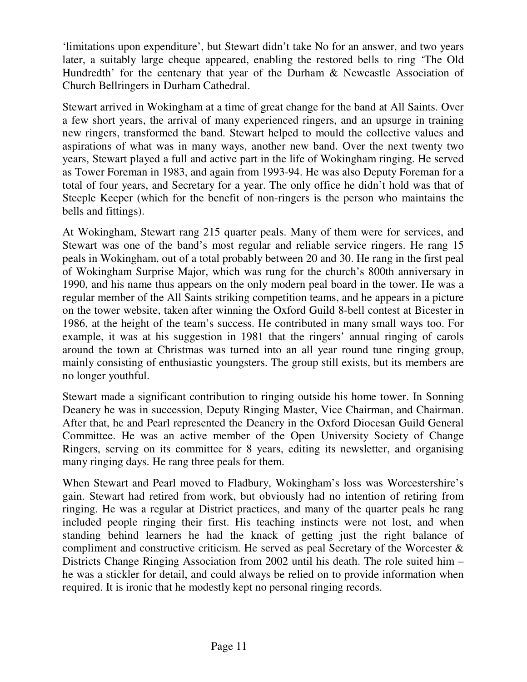'limitations upon expenditure', but Stewart didn't take No for an answer, and two years later, a suitably large cheque appeared, enabling the restored bells to ring 'The Old Hundredth' for the centenary that year of the Durham & Newcastle Association of Church Bellringers in Durham Cathedral.

Stewart arrived in Wokingham at a time of great change for the band at All Saints. Over a few short years, the arrival of many experienced ringers, and an upsurge in training new ringers, transformed the band. Stewart helped to mould the collective values and aspirations of what was in many ways, another new band. Over the next twenty two years, Stewart played a full and active part in the life of Wokingham ringing. He served as Tower Foreman in 1983, and again from 1993-94. He was also Deputy Foreman for a total of four years, and Secretary for a year. The only office he didn't hold was that of Steeple Keeper (which for the benefit of non-ringers is the person who maintains the bells and fittings).

At Wokingham, Stewart rang 215 quarter peals. Many of them were for services, and Stewart was one of the band's most regular and reliable service ringers. He rang 15 peals in Wokingham, out of a total probably between 20 and 30. He rang in the first peal of Wokingham Surprise Major, which was rung for the church's 800th anniversary in 1990, and his name thus appears on the only modern peal board in the tower. He was a regular member of the All Saints striking competition teams, and he appears in a picture on the tower website, taken after winning the Oxford Guild 8-bell contest at Bicester in 1986, at the height of the team's success. He contributed in many small ways too. For example, it was at his suggestion in 1981 that the ringers' annual ringing of carols around the town at Christmas was turned into an all year round tune ringing group, mainly consisting of enthusiastic youngsters. The group still exists, but its members are no longer youthful.

Stewart made a significant contribution to ringing outside his home tower. In Sonning Deanery he was in succession, Deputy Ringing Master, Vice Chairman, and Chairman. After that, he and Pearl represented the Deanery in the Oxford Diocesan Guild General Committee. He was an active member of the Open University Society of Change Ringers, serving on its committee for 8 years, editing its newsletter, and organising many ringing days. He rang three peals for them.

When Stewart and Pearl moved to Fladbury, Wokingham's loss was Worcestershire's gain. Stewart had retired from work, but obviously had no intention of retiring from ringing. He was a regular at District practices, and many of the quarter peals he rang included people ringing their first. His teaching instincts were not lost, and when standing behind learners he had the knack of getting just the right balance of compliment and constructive criticism. He served as peal Secretary of the Worcester & Districts Change Ringing Association from 2002 until his death. The role suited him – he was a stickler for detail, and could always be relied on to provide information when required. It is ironic that he modestly kept no personal ringing records.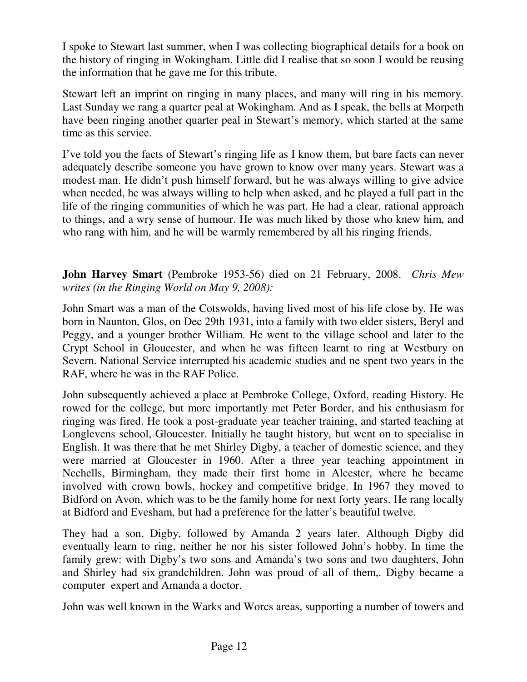I spoke to Stewart last summer, when I was collecting biographical details for a book on the history of ringing in Wokingham. Little did I realise that so soon I would be reusing the information that he gave me for this tribute.

Stewart left an imprint on ringing in many places, and many will ring in his memory. Last Sunday we rang a quarter peal at Wokingham. And as I speak, the bells at Morpeth have been ringing another quarter peal in Stewart's memory, which started at the same time as this service.

I've told you the facts of Stewart's ringing life as I know them, but bare facts can never adequately describe someone you have grown to know over many years. Stewart was a modest man. He didn't push himself forward, but he was always willing to give advice when needed, he was always willing to help when asked, and he played a full part in the life of the ringing communities of which he was part. He had a clear, rational approach to things, and a wry sense of humour. He was much liked by those who knew him, and who rang with him, and he will be warmly remembered by all his ringing friends.

**John Harvey Smart** (Pembroke 1953-56) died on 21 February, 2008. *Chris Mew writes (in the Ringing World on May 9, 2008):*

John Smart was a man of the Cotswolds, having lived most of his life close by. He was born in Naunton, Glos, on Dec 29th 1931, into a family with two elder sisters, Beryl and Peggy, and a younger brother William. He went to the village school and later to the Crypt School in Gloucester, and when he was fifteen learnt to ring at Westbury on Severn. National Service interrupted his academic studies and ne spent two years in the RAF, where he was in the RAF Police.

John subsequently achieved a place at Pembroke College, Oxford, reading History. He rowed for the college, but more importantly met Peter Border, and his enthusiasm for ringing was fired. He took a post-graduate year teacher training, and started teaching at Longlevens school, Gloucester. Initially he taught history, but went on to specialise in English. It was there that he met Shirley Digby, a teacher of domestic science, and they were married at Gloucester in 1960. After a three year teaching appointment in Nechells, Birmingham, they made their first home in Alcester, where he became involved with crown bowls, hockey and competitive bridge. In 1967 they moved to Bidford on Avon, which was to be the family home for next forty years. He rang locally at Bidford and Evesham, but had a preference for the latter's beautiful twelve.

They had a son, Digby, followed by Amanda 2 years later. Although Digby did eventually learn to ring, neither he nor his sister followed John's hobby. In time the family grew: with Digby's two sons and Amanda's two sons and two daughters, John and Shirley had six grandchildren. John was proud of all of them,. Digby became a computer expert and Amanda a doctor.

John was well known in the Warks and Worcs areas, supporting a number of towers and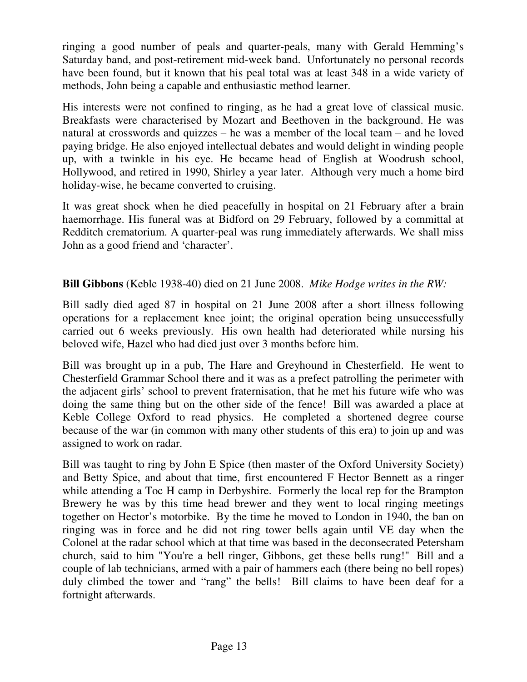ringing a good number of peals and quarter-peals, many with Gerald Hemming's Saturday band, and post-retirement mid-week band. Unfortunately no personal records have been found, but it known that his peal total was at least 348 in a wide variety of methods, John being a capable and enthusiastic method learner.

His interests were not confined to ringing, as he had a great love of classical music. Breakfasts were characterised by Mozart and Beethoven in the background. He was natural at crosswords and quizzes – he was a member of the local team – and he loved paying bridge. He also enjoyed intellectual debates and would delight in winding people up, with a twinkle in his eye. He became head of English at Woodrush school, Hollywood, and retired in 1990, Shirley a year later. Although very much a home bird holiday-wise, he became converted to cruising.

It was great shock when he died peacefully in hospital on 21 February after a brain haemorrhage. His funeral was at Bidford on 29 February, followed by a committal at Redditch crematorium. A quarter-peal was rung immediately afterwards. We shall miss John as a good friend and 'character'.

# **Bill Gibbons** (Keble 1938-40) died on 21 June 2008. *Mike Hodge writes in the RW:*

Bill sadly died aged 87 in hospital on 21 June 2008 after a short illness following operations for a replacement knee joint; the original operation being unsuccessfully carried out 6 weeks previously. His own health had deteriorated while nursing his beloved wife, Hazel who had died just over 3 months before him.

Bill was brought up in a pub, The Hare and Greyhound in Chesterfield. He went to Chesterfield Grammar School there and it was as a prefect patrolling the perimeter with the adjacent girls' school to prevent fraternisation, that he met his future wife who was doing the same thing but on the other side of the fence! Bill was awarded a place at Keble College Oxford to read physics. He completed a shortened degree course because of the war (in common with many other students of this era) to join up and was assigned to work on radar.

Bill was taught to ring by John E Spice (then master of the Oxford University Society) and Betty Spice, and about that time, first encountered F Hector Bennett as a ringer while attending a Toc H camp in Derbyshire. Formerly the local rep for the Brampton Brewery he was by this time head brewer and they went to local ringing meetings together on Hector's motorbike. By the time he moved to London in 1940, the ban on ringing was in force and he did not ring tower bells again until VE day when the Colonel at the radar school which at that time was based in the deconsecrated Petersham church, said to him "You're a bell ringer, Gibbons, get these bells rung!" Bill and a couple of lab technicians, armed with a pair of hammers each (there being no bell ropes) duly climbed the tower and "rang" the bells! Bill claims to have been deaf for a fortnight afterwards.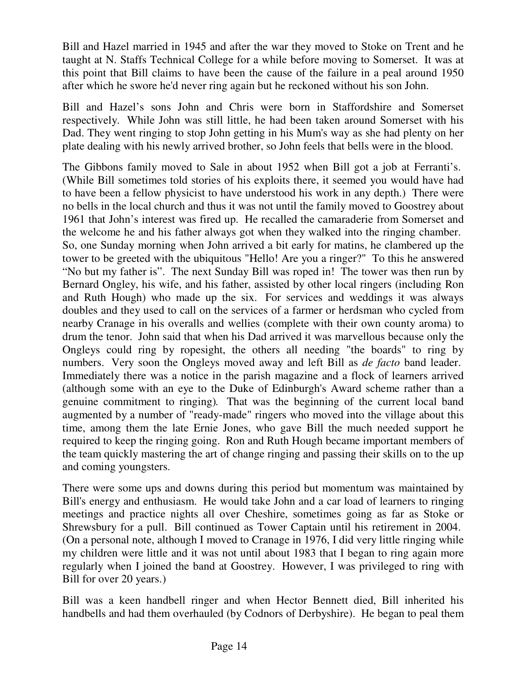Bill and Hazel married in 1945 and after the war they moved to Stoke on Trent and he taught at N. Staffs Technical College for a while before moving to Somerset. It was at this point that Bill claims to have been the cause of the failure in a peal around 1950 after which he swore he'd never ring again but he reckoned without his son John.

Bill and Hazel's sons John and Chris were born in Staffordshire and Somerset respectively. While John was still little, he had been taken around Somerset with his Dad. They went ringing to stop John getting in his Mum's way as she had plenty on her plate dealing with his newly arrived brother, so John feels that bells were in the blood.

The Gibbons family moved to Sale in about 1952 when Bill got a job at Ferranti's. (While Bill sometimes told stories of his exploits there, it seemed you would have had to have been a fellow physicist to have understood his work in any depth.) There were no bells in the local church and thus it was not until the family moved to Goostrey about 1961 that John's interest was fired up. He recalled the camaraderie from Somerset and the welcome he and his father always got when they walked into the ringing chamber. So, one Sunday morning when John arrived a bit early for matins, he clambered up the tower to be greeted with the ubiquitous "Hello! Are you a ringer?" To this he answered "No but my father is". The next Sunday Bill was roped in! The tower was then run by Bernard Ongley, his wife, and his father, assisted by other local ringers (including Ron and Ruth Hough) who made up the six. For services and weddings it was always doubles and they used to call on the services of a farmer or herdsman who cycled from nearby Cranage in his overalls and wellies (complete with their own county aroma) to drum the tenor. John said that when his Dad arrived it was marvellous because only the Ongleys could ring by ropesight, the others all needing "the boards" to ring by numbers. Very soon the Ongleys moved away and left Bill as *de facto* band leader. Immediately there was a notice in the parish magazine and a flock of learners arrived (although some with an eye to the Duke of Edinburgh's Award scheme rather than a genuine commitment to ringing)*.* That was the beginning of the current local band augmented by a number of "ready-made" ringers who moved into the village about this time, among them the late Ernie Jones, who gave Bill the much needed support he required to keep the ringing going. Ron and Ruth Hough became important members of the team quickly mastering the art of change ringing and passing their skills on to the up and coming youngsters.

There were some ups and downs during this period but momentum was maintained by Bill's energy and enthusiasm. He would take John and a car load of learners to ringing meetings and practice nights all over Cheshire, sometimes going as far as Stoke or Shrewsbury for a pull. Bill continued as Tower Captain until his retirement in 2004. (On a personal note, although I moved to Cranage in 1976, I did very little ringing while my children were little and it was not until about 1983 that I began to ring again more regularly when I joined the band at Goostrey. However, I was privileged to ring with Bill for over 20 years.)

Bill was a keen handbell ringer and when Hector Bennett died, Bill inherited his handbells and had them overhauled (by Codnors of Derbyshire). He began to peal them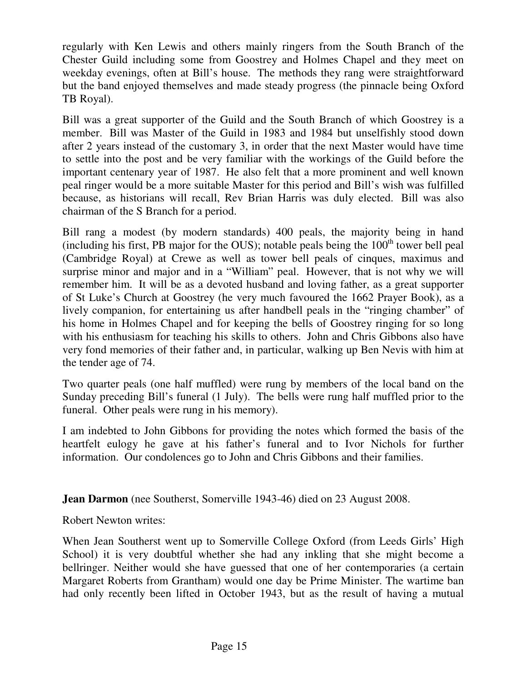regularly with Ken Lewis and others mainly ringers from the South Branch of the Chester Guild including some from Goostrey and Holmes Chapel and they meet on weekday evenings, often at Bill's house. The methods they rang were straightforward but the band enjoyed themselves and made steady progress (the pinnacle being Oxford TB Royal).

Bill was a great supporter of the Guild and the South Branch of which Goostrey is a member. Bill was Master of the Guild in 1983 and 1984 but unselfishly stood down after 2 years instead of the customary 3, in order that the next Master would have time to settle into the post and be very familiar with the workings of the Guild before the important centenary year of 1987. He also felt that a more prominent and well known peal ringer would be a more suitable Master for this period and Bill's wish was fulfilled because, as historians will recall, Rev Brian Harris was duly elected. Bill was also chairman of the S Branch for a period.

Bill rang a modest (by modern standards) 400 peals, the majority being in hand (including his first, PB major for the OUS); notable peals being the  $100<sup>th</sup>$  tower bell peal (Cambridge Royal) at Crewe as well as tower bell peals of cinques, maximus and surprise minor and major and in a "William" peal. However, that is not why we will remember him. It will be as a devoted husband and loving father, as a great supporter of St Luke's Church at Goostrey (he very much favoured the 1662 Prayer Book), as a lively companion, for entertaining us after handbell peals in the "ringing chamber" of his home in Holmes Chapel and for keeping the bells of Goostrey ringing for so long with his enthusiasm for teaching his skills to others. John and Chris Gibbons also have very fond memories of their father and, in particular, walking up Ben Nevis with him at the tender age of 74.

Two quarter peals (one half muffled) were rung by members of the local band on the Sunday preceding Bill's funeral (1 July). The bells were rung half muffled prior to the funeral. Other peals were rung in his memory).

I am indebted to John Gibbons for providing the notes which formed the basis of the heartfelt eulogy he gave at his father's funeral and to Ivor Nichols for further information. Our condolences go to John and Chris Gibbons and their families.

**Jean Darmon** (nee Southerst, Somerville 1943-46) died on 23 August 2008.

Robert Newton writes:

When Jean Southerst went up to Somerville College Oxford (from Leeds Girls' High School) it is very doubtful whether she had any inkling that she might become a bellringer. Neither would she have guessed that one of her contemporaries (a certain Margaret Roberts from Grantham) would one day be Prime Minister. The wartime ban had only recently been lifted in October 1943, but as the result of having a mutual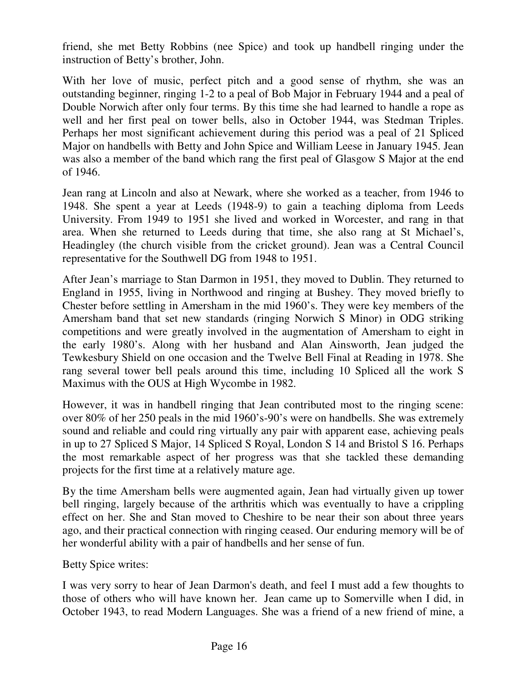friend, she met Betty Robbins (nee Spice) and took up handbell ringing under the instruction of Betty's brother, John.

With her love of music, perfect pitch and a good sense of rhythm, she was an outstanding beginner, ringing 1-2 to a peal of Bob Major in February 1944 and a peal of Double Norwich after only four terms. By this time she had learned to handle a rope as well and her first peal on tower bells, also in October 1944, was Stedman Triples. Perhaps her most significant achievement during this period was a peal of 21 Spliced Major on handbells with Betty and John Spice and William Leese in January 1945. Jean was also a member of the band which rang the first peal of Glasgow S Major at the end of 1946.

Jean rang at Lincoln and also at Newark, where she worked as a teacher, from 1946 to 1948. She spent a year at Leeds (1948-9) to gain a teaching diploma from Leeds University. From 1949 to 1951 she lived and worked in Worcester, and rang in that area. When she returned to Leeds during that time, she also rang at St Michael's, Headingley (the church visible from the cricket ground). Jean was a Central Council representative for the Southwell DG from 1948 to 1951.

After Jean's marriage to Stan Darmon in 1951, they moved to Dublin. They returned to England in 1955, living in Northwood and ringing at Bushey. They moved briefly to Chester before settling in Amersham in the mid 1960's. They were key members of the Amersham band that set new standards (ringing Norwich S Minor) in ODG striking competitions and were greatly involved in the augmentation of Amersham to eight in the early 1980's. Along with her husband and Alan Ainsworth, Jean judged the Tewkesbury Shield on one occasion and the Twelve Bell Final at Reading in 1978. She rang several tower bell peals around this time, including 10 Spliced all the work S Maximus with the OUS at High Wycombe in 1982.

However, it was in handbell ringing that Jean contributed most to the ringing scene: over 80% of her 250 peals in the mid 1960's-90's were on handbells. She was extremely sound and reliable and could ring virtually any pair with apparent ease, achieving peals in up to 27 Spliced S Major, 14 Spliced S Royal, London S 14 and Bristol S 16. Perhaps the most remarkable aspect of her progress was that she tackled these demanding projects for the first time at a relatively mature age.

By the time Amersham bells were augmented again, Jean had virtually given up tower bell ringing, largely because of the arthritis which was eventually to have a crippling effect on her. She and Stan moved to Cheshire to be near their son about three years ago, and their practical connection with ringing ceased. Our enduring memory will be of her wonderful ability with a pair of handbells and her sense of fun.

Betty Spice writes:

I was very sorry to hear of Jean Darmon's death, and feel I must add a few thoughts to those of others who will have known her. Jean came up to Somerville when I did, in October 1943, to read Modern Languages. She was a friend of a new friend of mine, a